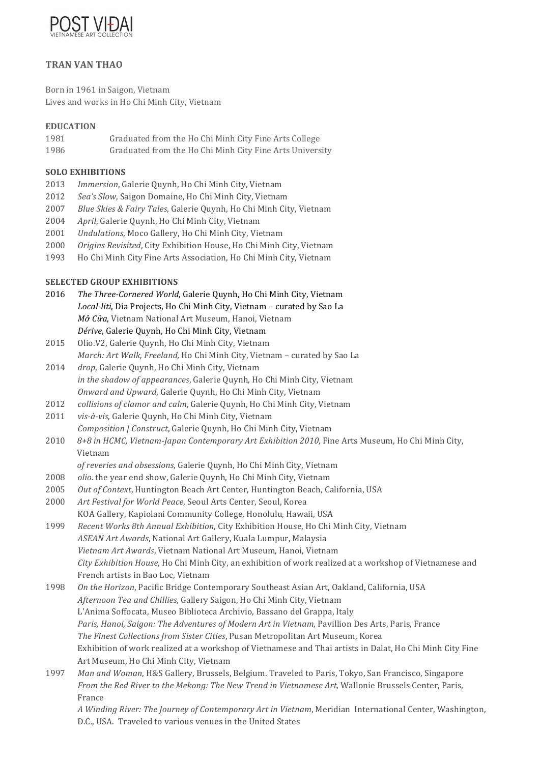

# **TRAN VAN THAO**

Born in 1961 in Saigon, Vietnam Lives and works in Ho Chi Minh City, Vietnam

### **EDUCATION**

- 1981 Graduated from the Ho Chi Minh City Fine Arts College
- 1986 Graduated from the Ho Chi Minh City Fine Arts University

### **SOLO EXHIBITIONS**

- 2013 *Immersion*, Galerie Quynh, Ho Chi Minh City, Vietnam
- 2012 *Sea's Slow*, Saigon Domaine, Ho Chi Minh City, Vietnam
- 2007 *Blue Skies & Fairy Tales*, Galerie Quynh, Ho Chi Minh City, Vietnam
- 2004 *April*, Galerie Quynh, Ho Chi Minh City, Vietnam
- 2001 *Undulations*, Moco Gallery, Ho Chi Minh City, Vietnam
- 2000 *Origins Revisited*, City Exhibition House, Ho Chi Minh City, Vietnam
- 1993 Ho Chi Minh City Fine Arts Association, Ho Chi Minh City, Vietnam

## **SELECTED GROUP EXHIBITIONS**

- 2016 *The Three-Cornered World*, Galerie Ouynh, Ho Chi Minh City, Vietnam Local-liti, Dia Projects, Ho Chi Minh City, Vietnam - curated by Sao La *Mở Cửa*, Vietnam National Art Museum, Hanoi, Vietnam Dérive, Galerie Quynh, Ho Chi Minh City, Vietnam
- 2015 Olio.V2, Galerie Ouynh, Ho Chi Minh City, Vietnam *March: Art Walk, Freeland, Ho Chi Minh City, Vietnam - curated by Sao La* 2014 *drop*, Galerie Quynh, Ho Chi Minh City, Vietnam
- *in the shadow of appearances*, Galerie Quynh, Ho Chi Minh City, Vietnam *Onward and Upward*, Galerie Quynh, Ho Chi Minh City, Vietnam
- 2012 *collisions of clamor and calm*, Galerie Ouynh, Ho Chi Minh City, Vietnam
- 2011 *vis-à-vis*, Galerie Quynh, Ho Chi Minh City, Vietnam *Composition | Construct, Galerie Quynh, Ho Chi Minh City, Vietnam*
- 2010 8+8 in HCMC, Vietnam-Japan Contemporary Art Exhibition 2010, Fine Arts Museum, Ho Chi Minh City, Vietnam
	- of reveries and obsessions, Galerie Ouynh, Ho Chi Minh City, Vietnam
- 2008 *olio*. the year end show, Galerie Quynh, Ho Chi Minh City, Vietnam
- 2005 Out of Context, Huntington Beach Art Center, Huntington Beach, California, USA
- 2000 Art Festival for World Peace, Seoul Arts Center, Seoul, Korea KOA Gallery, Kapiolani Community College, Honolulu, Hawaii, USA
- 1999 Recent Works 8th Annual Exhibition, City Exhibition House, Ho Chi Minh City, Vietnam ASEAN Art Awards, National Art Gallery, Kuala Lumpur, Malaysia *Vietnam Art Awards*, Vietnam National Art Museum, Hanoi, Vietnam *City Exhibition House*, Ho Chi Minh City, an exhibition of work realized at a workshop of Vietnamese and French artists in Bao Loc, Vietnam
- 1998 *On the Horizon*, Pacific Bridge Contemporary Southeast Asian Art, Oakland, California, USA *Afternoon Tea and Chillies*, Gallery Saigon, Ho Chi Minh City, Vietnam L'Anima Soffocata, Museo Biblioteca Archivio, Bassano del Grappa, Italy Paris, Hanoi, Saigon: The Adventures of Modern Art in Vietnam, Pavillion Des Arts, Paris, France *The Finest Collections from Sister Cities*, Pusan Metropolitan Art Museum, Korea Exhibition of work realized at a workshop of Vietnamese and Thai artists in Dalat, Ho Chi Minh City Fine Art Museum, Ho Chi Minh City, Vietnam
- 1997 *Man and Woman*, H&S Gallery, Brussels, Belgium. Traveled to Paris, Tokyo, San Francisco, Singapore *From the Red River to the Mekong: The New Trend in Vietnamese Art, Wallonie Brussels Center, Paris,* France

*A Winding River: The Journey of Contemporary Art in Vietnam*, Meridian International Center, Washington, D.C., USA. Traveled to various venues in the United States